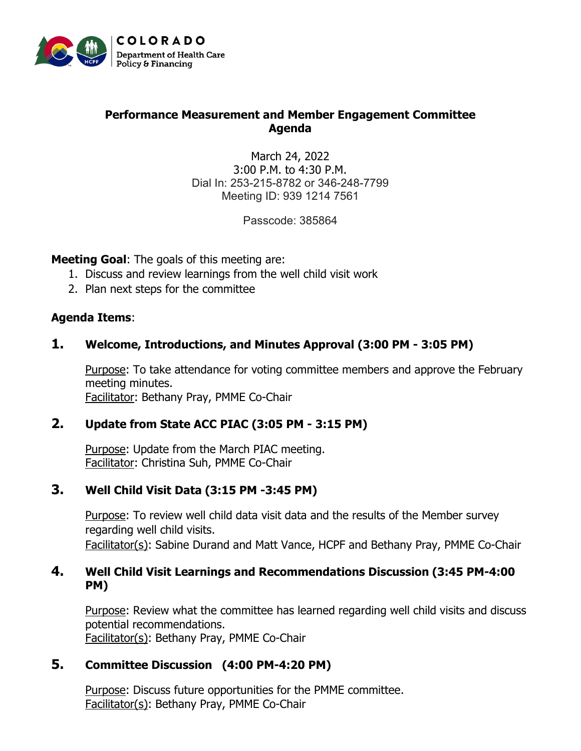

### **Performance Measurement and Member Engagement Committee Agenda**

March 24, 2022 3:00 P.M. to 4:30 P.M. Dial In: 253-215-8782 or 346-248-7799 Meeting ID: 939 1214 7561

Passcode: 385864

**Meeting Goal**: The goals of this meeting are:

- 1. Discuss and review learnings from the well child visit work
- 2. Plan next steps for the committee

#### **Agenda Items**:

#### **1. Welcome, Introductions, and Minutes Approval (3:00 PM - 3:05 PM)**

Purpose: To take attendance for voting committee members and approve the February meeting minutes. Facilitator: Bethany Pray, PMME Co-Chair

#### **2. Update from State ACC PIAC (3:05 PM - 3:15 PM)**

Purpose: Update from the March PIAC meeting. Facilitator: Christina Suh, PMME Co-Chair

#### **3. Well Child Visit Data (3:15 PM -3:45 PM)**

Purpose: To review well child data visit data and the results of the Member survey regarding well child visits.

Facilitator(s): Sabine Durand and Matt Vance, HCPF and Bethany Pray, PMME Co-Chair

#### **4. Well Child Visit Learnings and Recommendations Discussion (3:45 PM-4:00 PM)**

Purpose: Review what the committee has learned regarding well child visits and discuss potential recommendations. Facilitator(s): Bethany Pray, PMME Co-Chair

#### **5. Committee Discussion (4:00 PM-4:20 PM)**

Purpose: Discuss future opportunities for the PMME committee. Facilitator(s): Bethany Pray, PMME Co-Chair